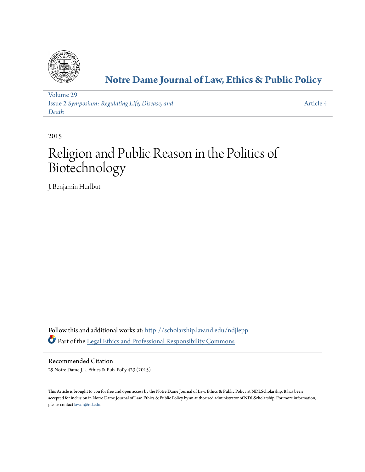

# **[Notre Dame Journal of Law, Ethics & Public Policy](http://scholarship.law.nd.edu/ndjlepp?utm_source=scholarship.law.nd.edu%2Fndjlepp%2Fvol29%2Fiss2%2F4&utm_medium=PDF&utm_campaign=PDFCoverPages)**

[Volume 29](http://scholarship.law.nd.edu/ndjlepp/vol29?utm_source=scholarship.law.nd.edu%2Fndjlepp%2Fvol29%2Fiss2%2F4&utm_medium=PDF&utm_campaign=PDFCoverPages) Issue 2 *[Symposium: Regulating Life, Disease, and](http://scholarship.law.nd.edu/ndjlepp/vol29/iss2?utm_source=scholarship.law.nd.edu%2Fndjlepp%2Fvol29%2Fiss2%2F4&utm_medium=PDF&utm_campaign=PDFCoverPages) [Death](http://scholarship.law.nd.edu/ndjlepp/vol29/iss2?utm_source=scholarship.law.nd.edu%2Fndjlepp%2Fvol29%2Fiss2%2F4&utm_medium=PDF&utm_campaign=PDFCoverPages)*

[Article 4](http://scholarship.law.nd.edu/ndjlepp/vol29/iss2/4?utm_source=scholarship.law.nd.edu%2Fndjlepp%2Fvol29%2Fiss2%2F4&utm_medium=PDF&utm_campaign=PDFCoverPages)

2015

# Religion and Public Reason in the Politics of Biotechnology

J. Benjamin Hurlbut

Follow this and additional works at: [http://scholarship.law.nd.edu/ndjlepp](http://scholarship.law.nd.edu/ndjlepp?utm_source=scholarship.law.nd.edu%2Fndjlepp%2Fvol29%2Fiss2%2F4&utm_medium=PDF&utm_campaign=PDFCoverPages) Part of the [Legal Ethics and Professional Responsibility Commons](http://network.bepress.com/hgg/discipline/895?utm_source=scholarship.law.nd.edu%2Fndjlepp%2Fvol29%2Fiss2%2F4&utm_medium=PDF&utm_campaign=PDFCoverPages)

Recommended Citation 29 Notre Dame J.L. Ethics & Pub. Pol'y 423 (2015)

This Article is brought to you for free and open access by the Notre Dame Journal of Law, Ethics & Public Policy at NDLScholarship. It has been accepted for inclusion in Notre Dame Journal of Law, Ethics & Public Policy by an authorized administrator of NDLScholarship. For more information, please contact [lawdr@nd.edu](mailto:lawdr@nd.edu).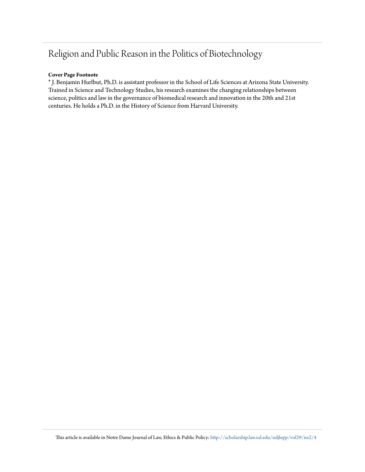# Religion and Public Reason in the Politics of Biotechnology

## **Cover Page Footnote**

\* J. Benjamin Hurlbut, Ph.D. is assistant professor in the School of Life Sciences at Arizona State University. Trained in Science and Technology Studies, his research examines the changing relationships between science, politics and law in the governance of biomedical research and innovation in the 20th and 21st centuries. He holds a Ph.D. in the History of Science from Harvard University.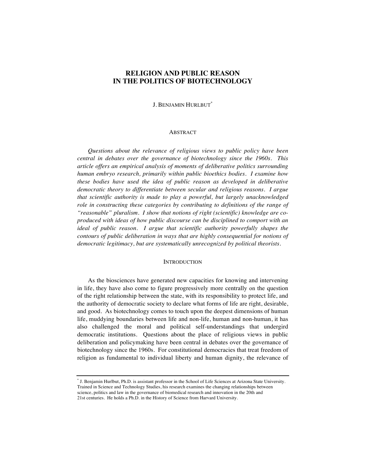# **RELIGION AND PUBLIC REASON IN THE POLITICS OF BIOTECHNOLOGY**

J. BENJAMIN HURLBUT\*

#### ABSTRACT

*Questions about the relevance of religious views to public policy have been central in debates over the governance of biotechnology since the 1960s. This article offers an empirical analysis of moments of deliberative politics surrounding human embryo research, primarily within public bioethics bodies. I examine how these bodies have used the idea of public reason as developed in deliberative democratic theory to differentiate between secular and religious reasons. I argue that scientific authority is made to play a powerful, but largely unacknowledged role in constructing these categories by contributing to definitions of the range of "reasonable" pluralism. I show that notions of right (scientific) knowledge are coproduced with ideas of how public discourse can be disciplined to comport with an ideal of public reason. I argue that scientific authority powerfully shapes the contours of public deliberation in ways that are highly consequential for notions of democratic legitimacy, but are systematically unrecognized by political theorists.* 

### **INTRODUCTION**

As the biosciences have generated new capacities for knowing and intervening in life, they have also come to figure progressively more centrally on the question of the right relationship between the state, with its responsibility to protect life, and the authority of democratic society to declare what forms of life are right, desirable, and good. As biotechnology comes to touch upon the deepest dimensions of human life, muddying boundaries between life and non-life, human and non-human, it has also challenged the moral and political self-understandings that undergird democratic institutions. Questions about the place of religious views in public deliberation and policymaking have been central in debates over the governance of biotechnology since the 1960s. For constitutional democracies that treat freedom of religion as fundamental to individual liberty and human dignity, the relevance of

<sup>\*</sup> J. Benjamin Hurlbut, Ph.D. is assistant professor in the School of Life Sciences at Arizona State University. Trained in Science and Technology Studies, his research examines the changing relationships between science, politics and law in the governance of biomedical research and innovation in the 20th and 21st centuries. He holds a Ph.D. in the History of Science from Harvard University.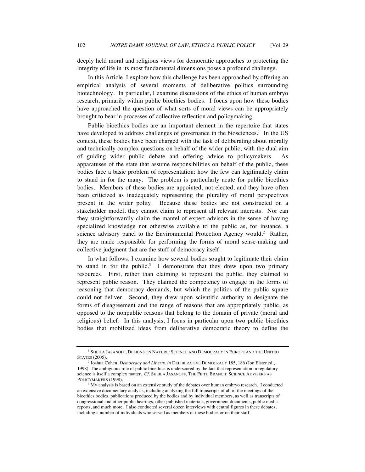deeply held moral and religious views for democratic approaches to protecting the integrity of life in its most fundamental dimensions poses a profound challenge.

In this Article, I explore how this challenge has been approached by offering an empirical analysis of several moments of deliberative politics surrounding biotechnology. In particular, I examine discussions of the ethics of human embryo research, primarily within public bioethics bodies. I focus upon how these bodies have approached the question of what sorts of moral views can be appropriately brought to bear in processes of collective reflection and policymaking.

Public bioethics bodies are an important element in the repertoire that states have developed to address challenges of governance in the biosciences.<sup>1</sup> In the US context, these bodies have been charged with the task of deliberating about morally and technically complex questions on behalf of the wider public, with the dual aim of guiding wider public debate and offering advice to policymakers. As apparatuses of the state that assume responsibilities on behalf of the public, these bodies face a basic problem of representation: how the few can legitimately claim to stand in for the many. The problem is particularly acute for public bioethics bodies. Members of these bodies are appointed, not elected, and they have often been criticized as inadequately representing the plurality of moral perspectives present in the wider polity. Because these bodies are not constructed on a stakeholder model, they cannot claim to represent all relevant interests. Nor can they straightforwardly claim the mantel of expert advisors in the sense of having specialized knowledge not otherwise available to the public as, for instance, a science advisory panel to the Environmental Protection Agency would.<sup>2</sup> Rather, they are made responsible for performing the forms of moral sense-making and collective judgment that are the stuff of democracy itself.

In what follows, I examine how several bodies sought to legitimate their claim to stand in for the public.<sup>3</sup> I demonstrate that they drew upon two primary resources. First, rather than claiming to represent the public, they claimed to represent public reason. They claimed the competency to engage in the forms of reasoning that democracy demands, but which the politics of the public square could not deliver. Second, they drew upon scientific authority to designate the forms of disagreement and the range of reasons that are appropriately public, as opposed to the nonpublic reasons that belong to the domain of private (moral and religious) belief. In this analysis, I focus in particular upon two public bioethics bodies that mobilized ideas from deliberative democratic theory to define the

<sup>&</sup>lt;sup>1</sup> SHEILA JASANOFF, DESIGNS ON NATURE: SCIENCE AND DEMOCRACY IN EUROPE AND THE UNITED STATES (2005).

<sup>&</sup>lt;sup>2</sup> Joshua Cohen, *Democracy and Liberty*, *in* DELIBERATIVE DEMOCRACY 185, 186 (Jon Elster ed., 1998). The ambiguous role of public bioethics is underscored by the fact that representation in regulatory science is itself a complex matter. *Cf.* SHEILA JASANOFF, THE FIFTH BRANCH: SCIENCE ADVISERS AS POLICYMAKERS (1998).

 $3$  My analysis is based on an extensive study of the debates over human embryo research. I conducted an extensive documentary analysis, including analyzing the full transcripts of all of the meetings of the bioethics bodies, publications produced by the bodies and by individual members, as well as transcripts of congressional and other public hearings, other published materials, government documents, public media reports, and much more. I also conducted several dozen interviews with central figures in these debates, including a number of individuals who served as members of these bodies or on their staff.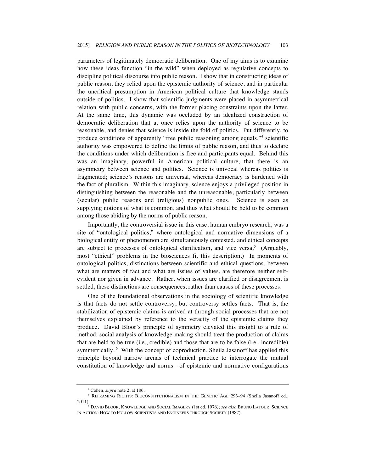parameters of legitimately democratic deliberation. One of my aims is to examine how these ideas function "in the wild" when deployed as regulative concepts to discipline political discourse into public reason. I show that in constructing ideas of public reason, they relied upon the epistemic authority of science, and in particular the uncritical presumption in American political culture that knowledge stands outside of politics. I show that scientific judgments were placed in asymmetrical relation with public concerns, with the former placing constraints upon the latter. At the same time, this dynamic was occluded by an idealized construction of democratic deliberation that at once relies upon the authority of science to be reasonable, and denies that science is inside the fold of politics. Put differently, to produce conditions of apparently "free public reasoning among equals,"4 scientific authority was empowered to define the limits of public reason, and thus to declare the conditions under which deliberation is free and participants equal. Behind this was an imaginary, powerful in American political culture, that there is an asymmetry between science and politics. Science is univocal whereas politics is fragmented; science's reasons are universal, whereas democracy is burdened with the fact of pluralism. Within this imaginary, science enjoys a privileged position in distinguishing between the reasonable and the unreasonable, particularly between (secular) public reasons and (religious) nonpublic ones. Science is seen as supplying notions of what is common, and thus what should be held to be common among those abiding by the norms of public reason.

Importantly, the controversial issue in this case, human embryo research, was a site of "ontological politics," where ontological and normative dimensions of a biological entity or phenomenon are simultaneously contested, and ethical concepts are subject to processes of ontological clarification, and vice versa.<sup>5</sup> (Arguably, most "ethical" problems in the biosciences fit this description.) In moments of ontological politics, distinctions between scientific and ethical questions, between what are matters of fact and what are issues of values, are therefore neither selfevident nor given in advance. Rather, when issues are clarified or disagreement is settled, these distinctions are consequences, rather than causes of these processes.

One of the foundational observations in the sociology of scientific knowledge is that facts do not settle controversy, but controversy settles facts. That is, the stabilization of epistemic claims is arrived at through social processes that are not themselves explained by reference to the veracity of the epistemic claims they produce. David Bloor's principle of symmetry elevated this insight to a rule of method: social analysis of knowledge-making should treat the production of claims that are held to be true (i.e., credible) and those that are to be false (i.e., incredible) symmetrically.<sup>6</sup> With the concept of coproduction, Sheila Jasanoff has applied this principle beyond narrow arenas of technical practice to interrogate the mutual constitution of knowledge and norms—of epistemic and normative configurations

<sup>4</sup> Cohen, *supra* note 2, at 186.

<sup>&</sup>lt;sup>5</sup> REFRAMING RIGHTS: BIOCONSTITUTIONALISM IN THE GENETIC AGE 293-94 (Sheila Jasanoff ed.,

<sup>2011).&</sup>lt;br><sup>6</sup> DAVID BLOOR, KNOWLEDGE AND SOCIAL IMAGERY (1st ed. 1976); *see also* BRUNO LATOUR, SCIENCE IN ACTION: HOW TO FOLLOW SCIENTISTS AND ENGINEERS THROUGH SOCIETY (1987).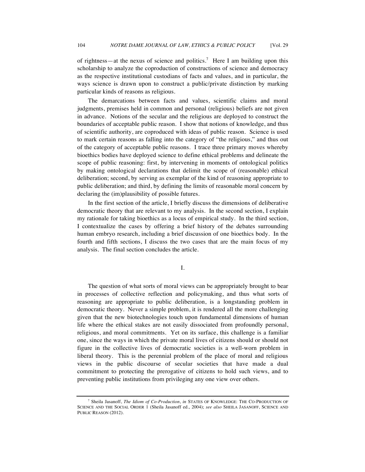of rightness—at the nexus of science and politics.<sup>7</sup> Here I am building upon this scholarship to analyze the coproduction of constructions of science and democracy as the respective institutional custodians of facts and values, and in particular, the ways science is drawn upon to construct a public/private distinction by marking particular kinds of reasons as religious.

The demarcations between facts and values, scientific claims and moral judgments, premises held in common and personal (religious) beliefs are not given in advance. Notions of the secular and the religious are deployed to construct the boundaries of acceptable public reason. I show that notions of knowledge, and thus of scientific authority, are coproduced with ideas of public reason. Science is used to mark certain reasons as falling into the category of "the religious," and thus out of the category of acceptable public reasons. I trace three primary moves whereby bioethics bodies have deployed science to define ethical problems and delineate the scope of public reasoning: first, by intervening in moments of ontological politics by making ontological declarations that delimit the scope of (reasonable) ethical deliberation; second, by serving as exemplar of the kind of reasoning appropriate to public deliberation; and third, by defining the limits of reasonable moral concern by declaring the (im)plausibility of possible futures.

In the first section of the article, I briefly discuss the dimensions of deliberative democratic theory that are relevant to my analysis. In the second section, I explain my rationale for taking bioethics as a locus of empirical study. In the third section, I contextualize the cases by offering a brief history of the debates surrounding human embryo research, including a brief discussion of one bioethics body. In the fourth and fifth sections, I discuss the two cases that are the main focus of my analysis. The final section concludes the article.

I.

The question of what sorts of moral views can be appropriately brought to bear in processes of collective reflection and policymaking, and thus what sorts of reasoning are appropriate to public deliberation, is a longstanding problem in democratic theory. Never a simple problem, it is rendered all the more challenging given that the new biotechnologies touch upon fundamental dimensions of human life where the ethical stakes are not easily dissociated from profoundly personal, religious, and moral commitments. Yet on its surface, this challenge is a familiar one, since the ways in which the private moral lives of citizens should or should not figure in the collective lives of democratic societies is a well-worn problem in liberal theory. This is the perennial problem of the place of moral and religious views in the public discourse of secular societies that have made a dual commitment to protecting the prerogative of citizens to hold such views, and to preventing public institutions from privileging any one view over others.

<sup>7</sup> Sheila Jasanoff, *The Idiom of Co-Production*, *in* STATES OF KNOWLEDGE: THE CO-PRODUCTION OF SCIENCE AND THE SOCIAL ORDER 1 (Sheila Jasanoff ed., 2004); *see also* SHEILA JASANOFF, SCIENCE AND PUBLIC REASON (2012).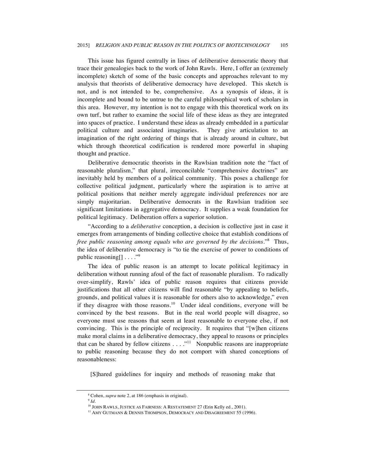This issue has figured centrally in lines of deliberative democratic theory that trace their genealogies back to the work of John Rawls. Here, I offer an (extremely incomplete) sketch of some of the basic concepts and approaches relevant to my analysis that theorists of deliberative democracy have developed. This sketch is not, and is not intended to be, comprehensive. As a synopsis of ideas, it is incomplete and bound to be untrue to the careful philosophical work of scholars in this area. However, my intention is not to engage with this theoretical work on its own turf, but rather to examine the social life of these ideas as they are integrated into spaces of practice. I understand these ideas as already embedded in a particular political culture and associated imaginaries. They give articulation to an imagination of the right ordering of things that is already around in culture, but which through theoretical codification is rendered more powerful in shaping thought and practice.

Deliberative democratic theorists in the Rawlsian tradition note the "fact of reasonable pluralism," that plural, irreconcilable "comprehensive doctrines" are inevitably held by members of a political community. This poses a challenge for collective political judgment, particularly where the aspiration is to arrive at political positions that neither merely aggregate individual preferences nor are simply majoritarian. Deliberative democrats in the Rawlsian tradition see significant limitations in aggregative democracy. It supplies a weak foundation for political legitimacy. Deliberation offers a superior solution.

"According to a *deliberative* conception, a decision is collective just in case it emerges from arrangements of binding collective choice that establish conditions of *free public reasoning among equals who are governed by the decisions*."<sup>8</sup> Thus, the idea of deliberative democracy is "to tie the exercise of power to conditions of public reasoning  $\left[ \ldots \right]$ .

The idea of public reason is an attempt to locate political legitimacy in deliberation without running afoul of the fact of reasonable pluralism. To radically over-simplify, Rawls' idea of public reason requires that citizens provide justifications that all other citizens will find reasonable "by appealing to beliefs, grounds, and political values it is reasonable for others also to acknowledge," even if they disagree with those reasons.<sup>10</sup> Under ideal conditions, everyone will be convinced by the best reasons. But in the real world people will disagree, so everyone must use reasons that seem at least reasonable to everyone else, if not convincing. This is the principle of reciprocity. It requires that "[w]hen citizens make moral claims in a deliberative democracy, they appeal to reasons or principles that can be shared by fellow citizens  $\dots$ ."<sup>11</sup> Nonpublic reasons are inappropriate to public reasoning because they do not comport with shared conceptions of reasonableness:

[S]hared guidelines for inquiry and methods of reasoning make that

<sup>8</sup> Cohen, *supra* note 2, at 186 (emphasis in original).

 $^9$   $\mathit{Id}.$ 

<sup>&</sup>lt;sup>10</sup> JOHN RAWLS, JUSTICE AS FAIRNESS: A RESTATEMENT 27 (Erin Kelly ed., 2001).

<sup>&</sup>lt;sup>11</sup> AMY GUTMANN & DENNIS THOMPSON, DEMOCRACY AND DISAGREEMENT 55 (1996).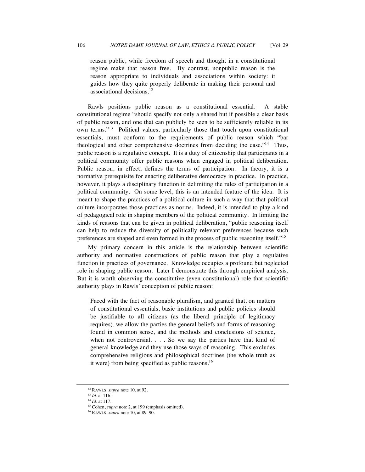reason public, while freedom of speech and thought in a constitutional regime make that reason free. By contrast, nonpublic reason is the reason appropriate to individuals and associations within society: it guides how they quite properly deliberate in making their personal and associational decisions.12

Rawls positions public reason as a constitutional essential. A stable constitutional regime "should specify not only a shared but if possible a clear basis of public reason, and one that can publicly be seen to be sufficiently reliable in its own terms."13 Political values, particularly those that touch upon constitutional essentials, must conform to the requirements of public reason which "bar theological and other comprehensive doctrines from deciding the case."<sup>14</sup> Thus, public reason is a regulative concept. It is a duty of citizenship that participants in a political community offer public reasons when engaged in political deliberation. Public reason, in effect, defines the terms of participation. In theory, it is a normative prerequisite for enacting deliberative democracy in practice. In practice, however, it plays a disciplinary function in delimiting the rules of participation in a political community. On some level, this is an intended feature of the idea. It is meant to shape the practices of a political culture in such a way that that political culture incorporates those practices as norms. Indeed, it is intended to play a kind of pedagogical role in shaping members of the political community. In limiting the kinds of reasons that can be given in political deliberation, "public reasoning itself can help to reduce the diversity of politically relevant preferences because such preferences are shaped and even formed in the process of public reasoning itself."15

My primary concern in this article is the relationship between scientific authority and normative constructions of public reason that play a regulative function in practices of governance. Knowledge occupies a profound but neglected role in shaping public reason. Later I demonstrate this through empirical analysis. But it is worth observing the constitutive (even constitutional) role that scientific authority plays in Rawls' conception of public reason:

Faced with the fact of reasonable pluralism, and granted that, on matters of constitutional essentials, basic institutions and public policies should be justifiable to all citizens (as the liberal principle of legitimacy requires), we allow the parties the general beliefs and forms of reasoning found in common sense, and the methods and conclusions of science, when not controversial. . . . So we say the parties have that kind of general knowledge and they use those ways of reasoning. This excludes comprehensive religious and philosophical doctrines (the whole truth as it were) from being specified as public reasons.<sup>16</sup>

<sup>12</sup> RAWLS, *supra* note 10, at 92.

<sup>13</sup> *Id.* at 116.

<sup>14</sup> *Id.* at 117.

<sup>&</sup>lt;sup>15</sup> Cohen, *supra* note 2, at 199 (emphasis omitted).

<sup>16</sup> RAWLS, *supra* note 10, at 89–90.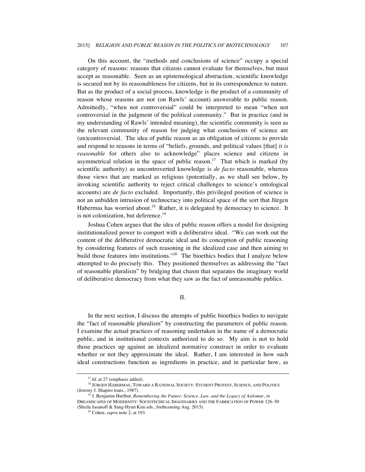On this account, the "methods and conclusions of science" occupy a special category of reasons: reasons that citizens cannot evaluate for themselves, but must accept as reasonable. Seen as an epistemological abstraction, scientific knowledge is secured not by its reasonableness for citizens, but in its correspondence to nature. But as the product of a social process, knowledge is the product of a community of reason whose reasons are not (on Rawls' account) answerable to public reason. Admittedly, "when not controversial" could be interpreted to mean "when not controversial in the judgment of the political community." But in practice (and in my understanding of Rawls' intended meaning), the scientific community is seen as the relevant community of reason for judging what conclusions of science are (un)controversial. The idea of public reason as an obligation of citizens to provide and respond to reasons in terms of "beliefs, grounds, and political values [that] *it is reasonable* for others also to acknowledge" places science and citizens in asymmetrical relation in the space of public reason.<sup>17</sup> That which is marked (by scientific authority) as uncontroverted knowledge is *de facto* reasonable, whereas those views that are marked as religious (potentially, as we shall see below, by invoking scientific authority to reject critical challenges to science's ontological accounts) are *de facto* excluded. Importantly, this privileged position of science is not an unbidden intrusion of technocracy into political space of the sort that Jürgen Habermas has worried about.<sup>18</sup> Rather, it is delegated by democracy to science. It is not colonization, but deference.<sup>19</sup>

Joshua Cohen argues that the idea of public reason offers a model for designing institutionalized power to comport with a deliberative ideal. "We can work out the content of the deliberative democratic ideal and its conception of public reasoning by considering features of such reasoning in the idealized case and then aiming to build those features into institutions."<sup>20</sup>The bioethics bodies that I analyze below attempted to do precisely this. They positioned themselves as addressing the "fact of reasonable pluralism" by bridging that chasm that separates the imaginary world of deliberative democracy from what they saw as the fact of unreasonable publics.

II.

In the next section, I discuss the attempts of public bioethics bodies to navigate the "fact of reasonable pluralism" by constructing the parameters of public reason. I examine the actual practices of reasoning undertaken in the name of a democratic public, and in institutional contexts authorized to do so. My aim is not to hold those practices up against an idealized normative construct in order to evaluate whether or not they approximate the ideal. Rather, I am interested in how such ideal constructions function as ingredients in practice, and in particular how, as

<sup>&</sup>lt;sup>17</sup> *Id.* at 27 (emphasis added).

<sup>&</sup>lt;sup>18</sup> JÜRGEN HABERMAS, TOWARD A RATIONAL SOCIETY: STUDENT PROTEST, SCIENCE, AND POLITICS (Jeremy J. Shapiro trans., 1987).

<sup>19</sup> J. Benjamin Hurlbut, *Remembering the Future: Science, Law, and the Legacy of Asilomar*, *in* DREAMSCAPES OF MODERNITY: SOCIOTECHICAL IMAGINARIES AND THE FABRICATION OF POWER 126–50 (Sheila Jasanoff & Sang-Hyun Kim eds., forthcoming Aug. 2015).

<sup>20</sup> Cohen, *supra* note 2, at 193.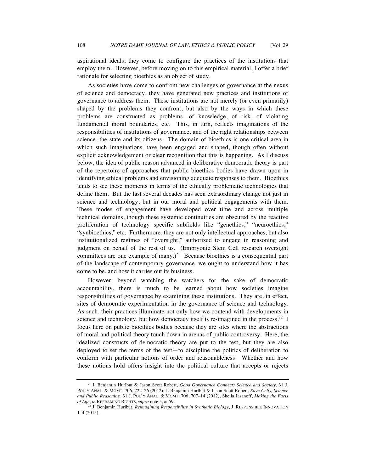aspirational ideals, they come to configure the practices of the institutions that employ them. However, before moving on to this empirical material, I offer a brief rationale for selecting bioethics as an object of study.

As societies have come to confront new challenges of governance at the nexus of science and democracy, they have generated new practices and institutions of governance to address them. These institutions are not merely (or even primarily) shaped by the problems they confront, but also by the ways in which these problems are constructed as problems—of knowledge, of risk, of violating fundamental moral boundaries, etc. This, in turn, reflects imaginations of the responsibilities of institutions of governance, and of the right relationships between science, the state and its citizens. The domain of bioethics is one critical area in which such imaginations have been engaged and shaped, though often without explicit acknowledgement or clear recognition that this is happening. As I discuss below, the idea of public reason advanced in deliberative democratic theory is part of the repertoire of approaches that public bioethics bodies have drawn upon in identifying ethical problems and envisioning adequate responses to them. Bioethics tends to see these moments in terms of the ethically problematic technologies that define them. But the last several decades has seen extraordinary change not just in science and technology, but in our moral and political engagements with them. These modes of engagement have developed over time and across multiple technical domains, though these systemic continuities are obscured by the reactive proliferation of technology specific subfields like "genethics," "neuroethics," "synbioethics," etc. Furthermore, they are not only intellectual approaches, but also institutionalized regimes of "oversight," authorized to engage in reasoning and judgment on behalf of the rest of us. (Embryonic Stem Cell research oversight committees are one example of many.)<sup>21</sup> Because bioethics is a consequential part of the landscape of contemporary governance, we ought to understand how it has come to be, and how it carries out its business.

However, beyond watching the watchers for the sake of democratic accountability, there is much to be learned about how societies imagine responsibilities of governance by examining these institutions. They are, in effect, sites of democratic experimentation in the governance of science and technology. As such, their practices illuminate not only how we contend with developments in science and technology, but how democracy itself is re-imagined in the process.<sup>22</sup> I focus here on public bioethics bodies because they are sites where the abstractions of moral and political theory touch down in arenas of public controversy. Here, the idealized constructs of democratic theory are put to the test, but they are also deployed to set the terms of the test—to discipline the politics of deliberation to conform with particular notions of order and reasonableness. Whether and how these notions hold offers insight into the political culture that accepts or rejects

<sup>21</sup> J. Benjamin Hurlbut & Jason Scott Robert, *Good Governance Connects Science and Society*, 31 J. POL'Y ANAL. & MGMT. 706, 722–26 (2012); J. Benjamin Hurlbut & Jason Scott Robert, *Stem Cells, Science and Public Reasoning*, 31 J. POL'Y ANAL. & MGMT. 706, 707–14 (2012); Sheila Jasanoff, *Making the Facts of Life*, *in* REFRAMING RIGHTS, *supra* note 5, at 59.

<sup>22</sup> J. Benjamin Hurlbut, *Reimagining Responsibility in Synthetic Biology*, J. RESPONSIBLE INNOVATION 1–4 (2015).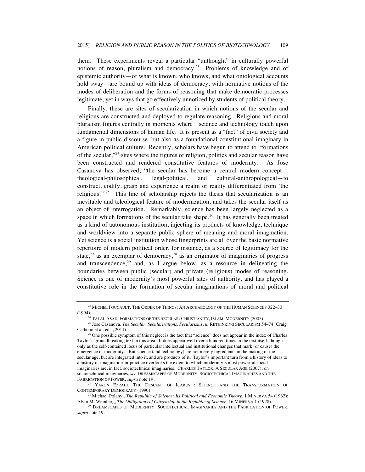them. These experiments reveal a particular "unthought" in culturally powerful notions of reason, pluralism and democracy.<sup>23</sup> Problems of knowledge and of epistemic authority—of what is known, who knows, and what ontological accounts hold sway—are bound up with ideas of democracy, with normative notions of the modes of deliberation and the forms of reasoning that make democratic processes legitimate, yet in ways that go effectively unnoticed by students of political theory.

Finally, these are sites of secularization in which notions of the secular and religious are constructed and deployed to regulate reasoning. Religious and moral pluralism figures centrally in moments where—science and technology touch upon fundamental dimensions of human life. It is present as a "fact" of civil society and a figure in public discourse, but also as a foundational constitutional imaginary in American political culture. Recently, scholars have begun to attend to "formations of the secular,"<sup>24</sup> sites where the figures of religion, politics and secular reason have been constructed and rendered constitutive features of modernity. As Jose Casanova has observed, "the secular has become a central modern concept theological-philosophical, legal-political, and cultural-anthropological—to construct, codify, grasp and experience a realm or reality differentiated from 'the religious.'"<sup>25</sup> This line of scholarship rejects the thesis that secularization is an inevitable and teleological feature of modernization, and takes the secular itself as an object of interrogation. Remarkably, science has been largely neglected as a space in which formations of the secular take shape.<sup>26</sup> It has generally been treated as a kind of autonomous institution, injecting its products of knowledge, technique and worldview into a separate public sphere of meaning and moral imagination. Yet science is a social institution whose fingerprints are all over the basic normative repertoire of modern political order, for instance, as a source of legitimacy for the state,<sup>27</sup> as an exemplar of democracy,<sup>28</sup> as an originator of imaginaries of progress and transcendence,<sup>29</sup> and, as I argue below, as a resource in delineating the boundaries between public (secular) and private (religious) modes of reasoning. Science is one of modernity's most powerful sites of authority, and has played a constitutive role in the formation of secular imaginations of moral and political

<sup>&</sup>lt;sup>23</sup> MICHEL FOUCAULT, THE ORDER OF THINGS: AN ARCHAEOLOGY OF THE HUMAN SCIENCES 322-30 (1994).

 $^{24}$  TALAL ASAD, FORMATIONS OF THE SECULAR: CHRISTIANITY, ISLAM, MODERNITY (2003).

<sup>25</sup> Jose Casanova, *The Secular, Secularizations, Secularisms*, *in* RETHINKING SECULARISM 54–74 (Craig Calhoun et al. eds., 2011).

<sup>&</sup>lt;sup>26</sup> One possible symptom of this neglect is the fact that "science" does not appear in the index of Charles Taylor's groundbreaking text in this area. It does appear well over a hundred times in the text itself, though only as the self-contained locus of particular intellectual and institutional changes that mark (or cause) the emergence of modernity. But science (and technology) are not merely ingredients in the making of the secular age, but are integrated into it, and are products of it. Taylor's important turn from a history of ideas to a history of imagination-in-practice overlooks the extent to which modernity's most powerful social imaginaries are, in fact, sociotechnical imaginaries. CHARLES TAYLOR, A SECULAR AGE (2007); on sociotechnical imaginaries, *see* DREAMSCAPES OF MODERNITY: SOCIOTECHICAL IMAGINARIES AND THE FABRICATION OF POWER, *supra* note 19.

<sup>&</sup>lt;sup>27</sup> YARON EZRAHI, THE DESCENT OF ICARUS : SCIENCE AND THE TRANSFORMATION OF CONTEMPORARY DEMOCRACY (1990).

<sup>28</sup> Michael Polanyi, *The Republic of Science: Its Political and Economic Theory*, 1 MINERVA 54 (1962); Alvin M. Weinberg, *The Obligations of Citizenship in the Republic of Science*, 16 MINERVA 1 (1978).

<sup>&</sup>lt;sup>29</sup> DREAMSCAPES OF MODERNITY: SOCIOTECHICAL IMAGINARIES AND THE FABRICATION OF POWER, *supra* note 19.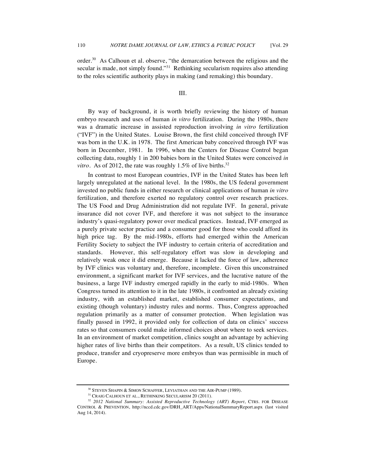order.<sup>30</sup> As Calhoun et al. observe, "the demarcation between the religious and the secular is made, not simply found."<sup>31</sup> Rethinking secularism requires also attending to the roles scientific authority plays in making (and remaking) this boundary.

III.

By way of background, it is worth briefly reviewing the history of human embryo research and uses of human *in vitro* fertilization. During the 1980s, there was a dramatic increase in assisted reproduction involving *in vitro* fertilization ("IVF") in the United States. Louise Brown, the first child conceived through IVF was born in the U.K. in 1978. The first American baby conceived through IVF was born in December, 1981. In 1996, when the Centers for Disease Control began collecting data, roughly 1 in 200 babies born in the United States were conceived *in vitro*. As of 2012, the rate was roughly  $1.5\%$  of live births.<sup>32</sup>

In contrast to most European countries, IVF in the United States has been left largely unregulated at the national level. In the 1980s, the US federal government invested no public funds in either research or clinical applications of human *in vitro* fertilization, and therefore exerted no regulatory control over research practices. The US Food and Drug Administration did not regulate IVF. In general, private insurance did not cover IVF, and therefore it was not subject to the insurance industry's quasi-regulatory power over medical practices. Instead, IVF emerged as a purely private sector practice and a consumer good for those who could afford its high price tag. By the mid-1980s, efforts had emerged within the American Fertility Society to subject the IVF industry to certain criteria of accreditation and standards. However, this self-regulatory effort was slow in developing and relatively weak once it did emerge. Because it lacked the force of law, adherence by IVF clinics was voluntary and, therefore, incomplete. Given this unconstrained environment, a significant market for IVF services, and the lucrative nature of the business, a large IVF industry emerged rapidly in the early to mid-1980s. When Congress turned its attention to it in the late 1980s, it confronted an already existing industry, with an established market, established consumer expectations, and existing (though voluntary) industry rules and norms. Thus, Congress approached regulation primarily as a matter of consumer protection. When legislation was finally passed in 1992, it provided only for collection of data on clinics' success rates so that consumers could make informed choices about where to seek services. In an environment of market competition, clinics sought an advantage by achieving higher rates of live births than their competitors. As a result, US clinics tended to produce, transfer and cryopreserve more embryos than was permissible in much of Europe.

<sup>&</sup>lt;sup>30</sup> STEVEN SHAPIN & SIMON SCHAFFER, LEVIATHAN AND THE AIR-PUMP (1989).

<sup>31</sup> CRAIG CALHOUN ET AL., RETHINKING SECULARISM 20 (2011).

<sup>&</sup>lt;sup>32</sup> 2012 National Summary: Assisted Reproductive Technology (ART) Report, CTRS. FOR DISEASE CONTROL & PREVENTION, http://nccd.cdc.gov/DRH\_ART/Apps/NationalSummaryReport.aspx (last visited Aug 14, 2014).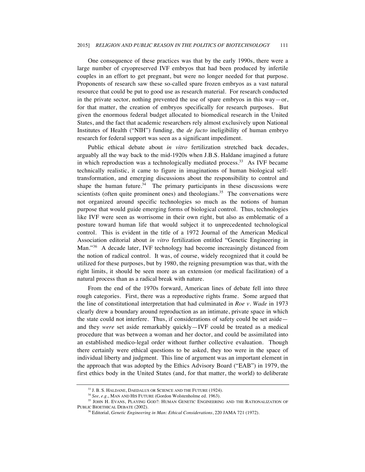One consequence of these practices was that by the early 1990s, there were a large number of cryopreserved IVF embryos that had been produced by infertile couples in an effort to get pregnant, but were no longer needed for that purpose. Proponents of research saw these so-called spare frozen embryos as a vast natural resource that could be put to good use as research material. For research conducted in the private sector, nothing prevented the use of spare embryos in this way—or, for that matter, the creation of embryos specifically for research purposes. But given the enormous federal budget allocated to biomedical research in the United States, and the fact that academic researchers rely almost exclusively upon National Institutes of Health ("NIH") funding, the *de facto* ineligibility of human embryo research for federal support was seen as a significant impediment.

Public ethical debate about *in vitro* fertilization stretched back decades, arguably all the way back to the mid-1920s when J.B.S. Haldane imagined a future in which reproduction was a technologically mediated process.<sup>33</sup> As IVF became technically realistic, it came to figure in imaginations of human biological selftransformation, and emerging discussions about the responsibility to control and shape the human future.<sup>34</sup> The primary participants in these discussions were scientists (often quite prominent ones) and theologians.<sup>35</sup> The conversations were not organized around specific technologies so much as the notions of human purpose that would guide emerging forms of biological control. Thus, technologies like IVF were seen as worrisome in their own right, but also as emblematic of a posture toward human life that would subject it to unprecedented technological control. This is evident in the title of a 1972 Journal of the American Medical Association editorial about *in vitro* fertilization entitled "Genetic Engineering in Man."36 A decade later, IVF technology had become increasingly distanced from the notion of radical control. It was, of course, widely recognized that it could be utilized for these purposes, but by 1980, the reigning presumption was that, with the right limits, it should be seen more as an extension (or medical facilitation) of a natural process than as a radical break with nature.

From the end of the 1970s forward, American lines of debate fell into three rough categories. First, there was a reproductive rights frame. Some argued that the line of constitutional interpretation that had culminated in *Roe v. Wade* in 1973 clearly drew a boundary around reproduction as an intimate, private space in which the state could not interfere. Thus, if considerations of safety could be set aside and they *were* set aside remarkably quickly—IVF could be treated as a medical procedure that was between a woman and her doctor, and could be assimilated into an established medico-legal order without further collective evaluation. Though there certainly were ethical questions to be asked, they too were in the space of individual liberty and judgment. This line of argument was an important element in the approach that was adopted by the Ethics Advisory Board ("EAB") in 1979, the first ethics body in the United States (and, for that matter, the world) to deliberate

 $33$  J. B. S. HALDANE, DAEDALUS OR SCIENCE AND THE FUTURE (1924).<br> $34$  *See, e.g.,* MAN AND HIS FUTURE (Gordon Wolstenholme ed. 1963).

<sup>&</sup>lt;sup>35</sup> JOHN H. EVANS, PLAYING GOD?: HUMAN GENETIC ENGINEERING AND THE RATIONALIZATION OF PUBLIC BIOETHICAL DEBATE (2002).

<sup>36</sup> Editorial, *Genetic Engineering in Man: Ethical Considerations*, 220 JAMA 721 (1972).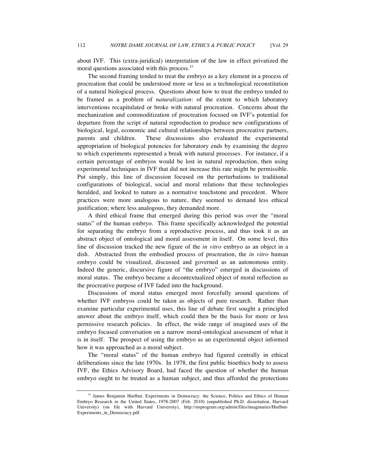about IVF. This (extra-juridical) interpretation of the law in effect privatized the moral questions associated with this process. $37$ 

The second framing tended to treat the embryo as a key element in a process of procreation that could be understood more or less as a technological reconstitution of a natural biological process. Questions about how to treat the embryo tended to be framed as a problem of *naturalization*: of the extent to which laboratory interventions recapitulated or broke with natural procreation. Concerns about the mechanization and commoditization of procreation focused on IVF's potential for departure from the script of natural reproduction to produce new configurations of biological, legal, economic and cultural relationships between procreative partners, parents and children. These discussions also evaluated the experimental appropriation of biological potencies for laboratory ends by examining the degree to which experiments represented a break with natural processes. For instance, if a certain percentage of embryos would be lost in natural reproduction, then using experimental techniques in IVF that did not increase this rate might be permissible. Put simply, this line of discussion focused on the perturbations to traditional configurations of biological, social and moral relations that these technologies heralded, and looked to nature as a normative touchstone and precedent. Where practices were more analogous to nature, they seemed to demand less ethical justification; where less analogous, they demanded more.

A third ethical frame that emerged during this period was over the "moral status" of the human embryo. This frame specifically acknowledged the potential for separating the embryo from a reproductive process, and thus took it as an abstract object of ontological and moral assessment in itself. On some level, this line of discussion tracked the new figure of the *in vitro* embryo as an object in a dish. Abstracted from the embodied process of procreation, the *in vitro* human embryo could be visualized, discussed and governed as an autonomous entity. Indeed the generic, discursive figure of "the embryo" emerged in discussions of moral status. The embryo became a decontextualized object of moral reflection as the procreative purpose of IVF faded into the background.

Discussions of moral status emerged most forcefully around questions of whether IVF embryos could be taken as objects of pure research. Rather than examine particular experimental uses, this line of debate first sought a principled answer about the embryo itself, which could then be the basis for more or less permissive research policies. In effect, the wide range of imagined uses of the embryo focused conversation on a narrow moral-ontological assessment of what it is in itself. The prospect of using the embryo as an experimental object informed how it was approached as a moral subject.

The "moral status" of the human embryo had figured centrally in ethical deliberations since the late 1970s. In 1978, the first public bioethics body to assess IVF, the Ethics Advisory Board, had faced the question of whether the human embryo ought to be treated as a human subject, and thus afforded the protections

<sup>&</sup>lt;sup>37</sup> James Benjamin Hurlbut, Experiments in Democracy: the Science, Politics and Ethics of Human Embryo Research in the United States, 1978-2007 (Feb. 2010) (unpublished Ph.D. dissertation, Harvard University) (on file with Harvard University), http://stsprogram.org/admin/files/imaginaries/Hurlbut-Experiments\_in\_Democracy.pdf.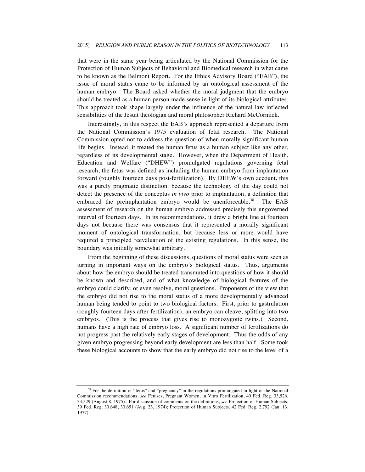that were in the same year being articulated by the National Commission for the Protection of Human Subjects of Behavioral and Biomedical research in what came to be known as the Belmont Report. For the Ethics Advisory Board ("EAB"), the issue of moral status came to be informed by an ontological assessment of the human embryo. The Board asked whether the moral judgment that the embryo should be treated as a human person made sense in light of its biological attributes. This approach took shape largely under the influence of the natural law inflected sensibilities of the Jesuit theologian and moral philosopher Richard McCormick.

Interestingly, in this respect the EAB's approach represented a departure from the National Commission's 1975 evaluation of fetal research. The National Commission opted not to address the question of when morally significant human life begins. Instead, it treated the human fetus as a human subject like any other, regardless of its developmental stage. However, when the Department of Health, Education and Welfare ("DHEW") promulgated regulations governing fetal research, the fetus was defined as including the human embryo from implantation forward (roughly fourteen days post-fertilization). By DHEW's own account, this was a purely pragmatic distinction: because the technology of the day could not detect the presence of the conceptus *in vivo* prior to implantation, a definition that embraced the preimplantation embryo would be unenforceable.<sup>38</sup> The EAB assessment of research on the human embryo addressed precisely this ungoverned interval of fourteen days. In its recommendations, it drew a bright line at fourteen days not because there was consensus that it represented a morally significant moment of ontological transformation, but because less or more would have required a principled reevaluation of the existing regulations. In this sense, the boundary was initially somewhat arbitrary.

From the beginning of these discussions, questions of moral status were seen as turning in important ways on the embryo's biological status. Thus, arguments about how the embryo should be treated transmuted into questions of how it should be known and described, and of what knowledge of biological features of the embryo could clarify, or even resolve, moral questions. Proponents of the view that the embryo did not rise to the moral status of a more developmentally advanced human being tended to point to two biological factors. First, prior to gastrulation (roughly fourteen days after fertilization), an embryo can cleave, splitting into two embryos. (This is the process that gives rise to monozygotic twins.) Second, humans have a high rate of embryo loss. A significant number of fertilizations do not progress past the relatively early stages of development. Thus the odds of any given embryo progressing beyond early development are less than half. Some took these biological accounts to show that the early embryo did not rise to the level of a

<sup>&</sup>lt;sup>38</sup> For the definition of "fetus" and "pregnancy" in the regulations promulgated in light of the National Commission recommendations, *see* Fetuses, Pregnant Women, in Vitro Fertilization, 40 Fed. Reg. 33,526, 33,529 (August 8, 1975). For discussion of comments on the definitions, *see* Protection of Human Subjects, 39 Fed. Reg. 30,648, 30,651 (Aug. 23, 1974); Protection of Human Subjects, 42 Fed. Reg. 2,792 (Jan. 13, 1977).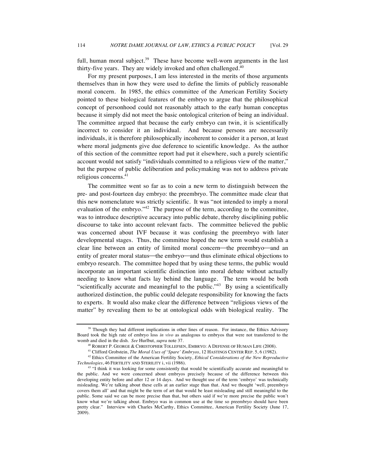full, human moral subject.<sup>39</sup> These have become well-worn arguments in the last thirty-five years. They are widely invoked and often challenged. $40$ 

For my present purposes, I am less interested in the merits of those arguments themselves than in how they were used to define the limits of publicly reasonable moral concern. In 1985, the ethics committee of the American Fertility Society pointed to these biological features of the embryo to argue that the philosophical concept of personhood could not reasonably attach to the early human conceptus because it simply did not meet the basic ontological criterion of being an individual. The committee argued that because the early embryo can twin, it is scientifically incorrect to consider it an individual. And because persons are necessarily individuals, it is therefore philosophically incoherent to consider it a person, at least where moral judgments give due deference to scientific knowledge. As the author of this section of the committee report had put it elsewhere, such a purely scientific account would not satisfy "individuals committed to a religious view of the matter," but the purpose of public deliberation and policymaking was not to address private religious concerns.<sup>41</sup>

The committee went so far as to coin a new term to distinguish between the pre- and post-fourteen day embryo: the preembryo. The committee made clear that this new nomenclature was strictly scientific. It was "not intended to imply a moral evaluation of the embryo."<sup>42</sup> The purpose of the term, according to the committee, was to introduce descriptive accuracy into public debate, thereby disciplining public discourse to take into account relevant facts. The committee believed the public was concerned about IVF because it was confusing the preembryo with later developmental stages. Thus, the committee hoped the new term would establish a clear line between an entity of limited moral concern—the preembryo—and an entity of greater moral status—the embryo—and thus eliminate ethical objections to embryo research. The committee hoped that by using these terms, the public would incorporate an important scientific distinction into moral debate without actually needing to know what facts lay behind the language. The term would be both "scientifically accurate and meaningful to the public."43 By using a scientifically authorized distinction, the public could delegate responsibility for knowing the facts to experts. It would also make clear the difference between "religious views of the matter" by revealing them to be at ontological odds with biological reality. The

<sup>&</sup>lt;sup>39</sup> Though they had different implications in other lines of reason. For instance, the Ethics Advisory Board took the high rate of embryo loss *in vivo* as analogous to embryos that were not transferred to the womb and died in the dish. *See* Hurlbut, *supra* note 37.

<sup>40</sup> ROBERT P. GEORGE & CHRISTOPHER TOLLEFSEN, EMBRYO: A DEFENSE OF HUMAN LIFE (2008).

<sup>41</sup> Clifford Grobstein, *The Moral Uses of* '*Spare' Embryos*, 12 HASTINGS CENTER REP. 5, 6 (1982).

<sup>42</sup> Ethics Committee of the American Fertility Society, *Ethical Considerations of the New Reproductive Technologies*, 46 FERTILITY AND STERILITY i, vii (1986).

 $43$  "I think it was looking for some consistently that would be scientifically accurate and meaningful to the public. And we were concerned about embryos precisely because of the difference between this developing entity before and after 12 or 14 days. And we thought use of the term 'embryo' was technically misleading. We're talking about these cells at an earlier stage than that. And we thought 'well, preembryo covers them all' and that might be the term of art that would be least misleading and still meaningful to the public. Some said we can be more precise than that, but others said if we're more precise the public won't know what we're talking about. Embryo was in common use at the time so preembryo should have been pretty clear." Interview with Charles McCarthy, Ethics Committee, American Fertility Society (June 17, 2009).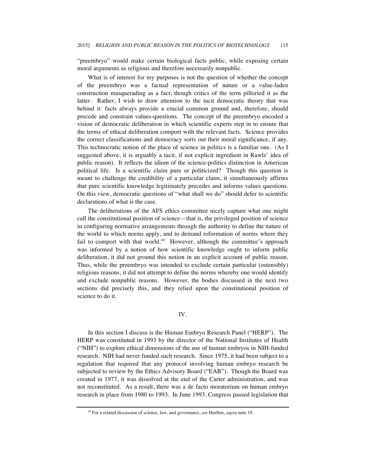"preembryo" would make certain biological facts public, while exposing certain moral arguments as religious and therefore necessarily nonpublic.

What is of interest for my purposes is not the question of whether the concept of the preembryo was a factual representation of nature or a value-laden construction masquerading as a fact, though critics of the term pilloried it as the latter. Rather, I wish to draw attention to the tacit democratic theory that was behind it: facts always provide a crucial common ground and, therefore, should precede and constrain values-questions. The concept of the preembryo encoded a vision of democratic deliberation in which scientific experts step in to ensure that the terms of ethical deliberation comport with the relevant facts. Science provides the correct classifications and democracy sorts out their moral significance, if any. This technocratic notion of the place of science in politics is a familiar one. (As I suggested above, it is arguably a tacit, if not explicit ingredient in Rawls' idea of public reason). It reflects the idiom of the science-politics distinction in American political life. Is a scientific claim pure or politicized? Though this question is meant to challenge the credibility of a particular claim, it simultaneously affirms that pure scientific knowledge legitimately precedes and informs values questions. On this view, democratic questions of "what shall we do" should defer to scientific declarations of what is the case.

The deliberations of the AFS ethics committee nicely capture what one might call the constitutional position of science—that is, the privileged position of science in configuring normative arrangements through the authority to define the nature of the world to which norms apply, and to demand reformation of norms where they fail to comport with that world.<sup>44</sup> However, although the committee's approach was informed by a notion of how scientific knowledge ought to inform public deliberation, it did not ground this notion in an explicit account of public reason. Thus, while the preembryo was intended to exclude certain particular (ostensibly) religious reasons, it did not attempt to define the norms whereby one would identify and exclude nonpublic reasons. However, the bodies discussed in the next two sections did precisely this, and they relied upon the constitutional position of science to do it.

### IV.

In this section I discuss is the Human Embryo Research Panel ("HERP"). The HERP was constituted in 1993 by the director of the National Institutes of Health ("NIH") to explore ethical dimensions of the use of human embryos in NIH-funded research. NIH had never funded such research. Since 1975, it had been subject to a regulation that required that any protocol involving human embryo research be subjected to review by the Ethics Advisory Board ("EAB"). Though the Board was created in 1977, it was dissolved at the end of the Carter administration, and was not reconstituted. As a result, there was a de facto moratorium on human embryo research in place from 1980 to 1993. In June 1993, Congress passed legislation that

<sup>44</sup> For a related discussion of science, law, and governance, *see* Hurlbut, *supra* note 19.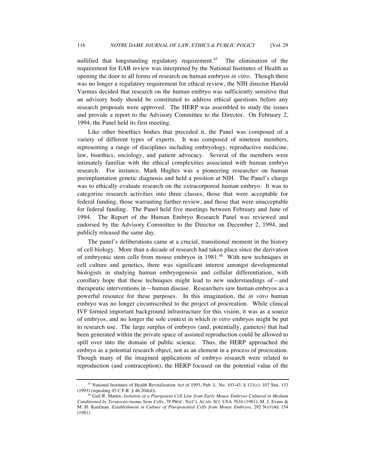nullified that longstanding regulatory requirement.<sup>45</sup> The elimination of the requirement for EAB review was interpreted by the National Institutes of Health as opening the door to all forms of research on human embryos *in vitro*. Though there was no longer a regulatory requirement for ethical review, the NIH director Harold Varmus decided that research on the human embryo was sufficiently sensitive that an advisory body should be constituted to address ethical questions before any research proposals were approved. The HERP was assembled to study the issues and provide a report to the Advisory Committee to the Director. On February 2, 1994, the Panel held its first meeting.

Like other bioethics bodies that preceded it, the Panel was composed of a variety of different types of experts. It was composed of nineteen members, representing a range of disciplines including embryology, reproductive medicine, law, bioethics, sociology, and patient advocacy. Several of the members were intimately familiar with the ethical complexities associated with human embryo research. For instance, Mark Hughes was a pioneering researcher on human preimplantation genetic diagnosis and held a position at NIH. The Panel's charge was to ethically evaluate research on the extracorporeal human embryo. It was to categorize research activities into three classes, those that were acceptable for federal funding, those warranting further review, and those that were unacceptable for federal funding. The Panel held five meetings between February and June of 1994. The Report of the Human Embryo Research Panel was reviewed and endorsed by the Advisory Committee to the Director on December 2, 1994, and publicly released the same day.

The panel's deliberations came at a crucial, transitional moment in the history of cell biology. More than a decade of research had taken place since the derivation of embryonic stem cells from mouse embryos in 1981.46 With new techniques in cell culture and genetics, there was significant interest amongst developmental biologists in studying human embryogenesis and cellular differentiation, with corollary hope that these techniques might lead to new understandings of—and therapeutic interventions in—human disease. Researchers saw human embryos as a powerful resource for these purposes. In this imagination, the *in vitro* human embryo was no longer circumscribed to the project of procreation. While clinical IVF formed important background infrastructure for this vision, it was as a source of embryos, and no longer the sole context in which *in vitro* embryos might be put to research use. The large surplus of embryos (and, potentially, gametes) that had been generated within the private space of assisted reproduction could be allowed to spill over into the domain of public science. Thus, the HERP approached the embryo as a potential research object, not as an element in a process of procreation. Though many of the imagined applications of embryo research were related to reproduction (and contraception), the HERP focused on the potential value of the

<sup>&</sup>lt;sup>45</sup> National Institutes of Health Revitalization Act of 1993, Pub. L. No. 103-43, § 121(c), 107 Stat. 133 (1993) (repealing 45 C.F.R. § 46.204(d)).

<sup>&</sup>lt;sup>46</sup> Gail R. Martin, *Isolation of a Pluripotent Cell Line from Early Mouse Embryos Cultured in Medium Conditioned by Teratocarcinoma Stem Cells*, 78 PROC. NAT'L ACAD. SCI. USA 7634 (1981); M. J. Evans & M. H. Kaufman, *Establishment in Culture of Pluripotential Cells from Mouse Embryos*, 292 NATURE 154 (1981).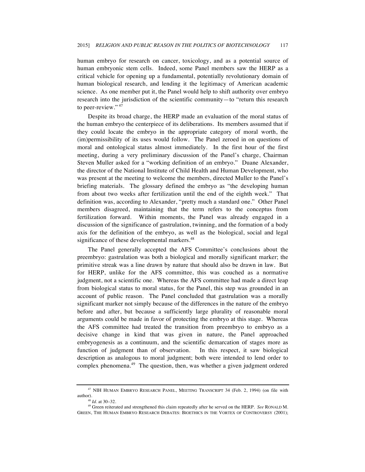human embryo for research on cancer, toxicology, and as a potential source of human embryonic stem cells. Indeed, some Panel members saw the HERP as a critical vehicle for opening up a fundamental, potentially revolutionary domain of human biological research, and lending it the legitimacy of American academic science. As one member put it, the Panel would help to shift authority over embryo research into the jurisdiction of the scientific community—to "return this research to peer-review." 47

Despite its broad charge, the HERP made an evaluation of the moral status of the human embryo the centerpiece of its deliberations. Its members assumed that if they could locate the embryo in the appropriate category of moral worth, the (im)permissibility of its uses would follow. The Panel zeroed in on questions of moral and ontological status almost immediately. In the first hour of the first meeting, during a very preliminary discussion of the Panel's charge, Chairman Steven Muller asked for a "working definition of an embryo." Duane Alexander, the director of the National Institute of Child Health and Human Development, who was present at the meeting to welcome the members, directed Muller to the Panel's briefing materials. The glossary defined the embryo as "the developing human from about two weeks after fertilization until the end of the eighth week." That definition was, according to Alexander, "pretty much a standard one." Other Panel members disagreed, maintaining that the term refers to the conceptus from fertilization forward. Within moments, the Panel was already engaged in a discussion of the significance of gastrulation, twinning, and the formation of a body axis for the definition of the embryo, as well as the biological, social and legal significance of these developmental markers.<sup>48</sup>

The Panel generally accepted the AFS Committee's conclusions about the preembryo: gastrulation was both a biological and morally significant marker; the primitive streak was a line drawn by nature that should also be drawn in law. But for HERP, unlike for the AFS committee, this was couched as a normative judgment, not a scientific one. Whereas the AFS committee had made a direct leap from biological status to moral status, for the Panel, this step was grounded in an account of public reason. The Panel concluded that gastrulation was a morally significant marker not simply because of the differences in the nature of the embryo before and after, but because a sufficiently large plurality of reasonable moral arguments could be made in favor of protecting the embryo at this stage. Whereas the AFS committee had treated the transition from preembryo to embryo as a decisive change in kind that was given in nature, the Panel approached embryogenesis as a continuum, and the scientific demarcation of stages more as function of judgment than of observation. In this respect, it saw biological description as analogous to moral judgment; both were intended to lend order to complex phenomena.<sup>49</sup> The question, then, was whether a given judgment ordered

<sup>47</sup> NIH HUMAN EMBRYO RESEARCH PANEL, MEETING TRANSCRIPT 34 (Feb. 2, 1994) (on file with author).

<sup>48</sup> *Id.* at 30–32.

<sup>49</sup> Green reiterated and strengthened this claim repeatedly after he served on the HERP. *See* RONALD M. GREEN, THE HUMAN EMBRYO RESEARCH DEBATES: BIOETHICS IN THE VORTEX OF CONTROVERSY (2001);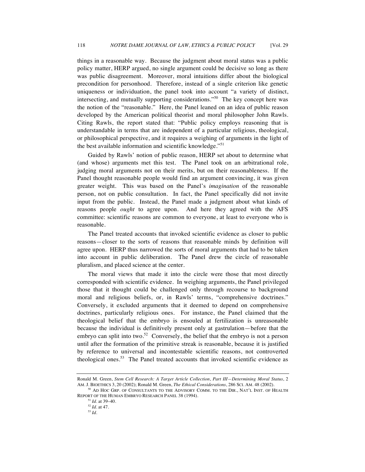things in a reasonable way. Because the judgment about moral status was a public policy matter, HERP argued, no single argument could be decisive so long as there was public disagreement. Moreover, moral intuitions differ about the biological precondition for personhood. Therefore, instead of a single criterion like genetic uniqueness or individuation, the panel took into account "a variety of distinct, intersecting, and mutually supporting considerations."50 The key concept here was the notion of the "reasonable." Here, the Panel leaned on an idea of public reason developed by the American political theorist and moral philosopher John Rawls. Citing Rawls, the report stated that: "Public policy employs reasoning that is understandable in terms that are independent of a particular religious, theological, or philosophical perspective, and it requires a weighing of arguments in the light of the best available information and scientific knowledge."<sup>51</sup>

Guided by Rawls' notion of public reason, HERP set about to determine what (and whose) arguments met this test. The Panel took on an arbitrational role, judging moral arguments not on their merits, but on their reasonableness. If the Panel thought reasonable people would find an argument convincing, it was given greater weight. This was based on the Panel's *imagination* of the reasonable person, not on public consultation. In fact, the Panel specifically did not invite input from the public. Instead, the Panel made a judgment about what kinds of reasons people *ought* to agree upon. And here they agreed with the AFS committee: scientific reasons are common to everyone, at least to everyone who is reasonable.

The Panel treated accounts that invoked scientific evidence as closer to public reasons—closer to the sorts of reasons that reasonable minds by definition will agree upon. HERP thus narrowed the sorts of moral arguments that had to be taken into account in public deliberation. The Panel drew the circle of reasonable pluralism, and placed science at the center.

The moral views that made it into the circle were those that most directly corresponded with scientific evidence. In weighing arguments, the Panel privileged those that it thought could be challenged only through recourse to background moral and religious beliefs, or, in Rawls' terms, "comprehensive doctrines." Conversely, it excluded arguments that it deemed to depend on comprehensive doctrines, particularly religious ones. For instance, the Panel claimed that the theological belief that the embryo is ensouled at fertilization is unreasonable because the individual is definitively present only at gastrulation—before that the embryo can split into two.<sup>52</sup> Conversely, the belief that the embryo is not a person until after the formation of the primitive streak is reasonable, because it is justified by reference to universal and incontestable scientific reasons, not controverted theological ones.<sup>53</sup> The Panel treated accounts that invoked scientific evidence as

Ronald M. Green, *Stem Cell Research: A Target Article Collection*, *Part III—Determining Moral Status*, 2 AM. J. BIOETHICS 3, 20 (2002); Ronald M. Green, *The Ethical Considerations*, 286 SCI. AM. 48 (2002).

AD HOC GRP. OF CONSULTANTS TO THE ADVISORY COMM. TO THE DIR., NAT'L INST. OF HEALTH REPORT OF THE HUMAN EMBRYO RESEARCH PANEL 38 (1994).

<sup>51</sup> *Id.* at 39–40.

<sup>52</sup> *Id.* at 47.

<sup>53</sup> *Id.*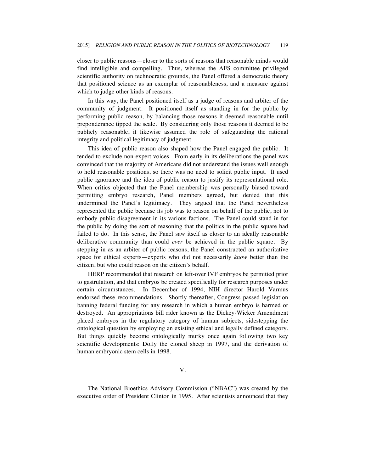closer to public reasons—closer to the sorts of reasons that reasonable minds would find intelligible and compelling. Thus, whereas the AFS committee privileged scientific authority on technocratic grounds, the Panel offered a democratic theory that positioned science as an exemplar of reasonableness, and a measure against which to judge other kinds of reasons.

In this way, the Panel positioned itself as a judge of reasons and arbiter of the community of judgment. It positioned itself as standing in for the public by performing public reason, by balancing those reasons it deemed reasonable until preponderance tipped the scale. By considering only those reasons it deemed to be publicly reasonable, it likewise assumed the role of safeguarding the rational integrity and political legitimacy of judgment.

This idea of public reason also shaped how the Panel engaged the public. It tended to exclude non-expert voices. From early in its deliberations the panel was convinced that the majority of Americans did not understand the issues well enough to hold reasonable positions, so there was no need to solicit public input. It used public ignorance and the idea of public reason to justify its representational role. When critics objected that the Panel membership was personally biased toward permitting embryo research, Panel members agreed, but denied that this undermined the Panel's legitimacy. They argued that the Panel nevertheless represented the public because its job was to reason on behalf of the public, not to embody public disagreement in its various factions. The Panel could stand in for the public by doing the sort of reasoning that the politics in the public square had failed to do. In this sense, the Panel saw itself as closer to an ideally reasonable deliberative community than could *ever* be achieved in the public square. By stepping in as an arbiter of public reasons, the Panel constructed an authoritative space for ethical experts—experts who did not necessarily *know* better than the citizen, but who could reason on the citizen's behalf.

HERP recommended that research on left-over IVF embryos be permitted prior to gastrulation, and that embryos be created specifically for research purposes under certain circumstances. In December of 1994, NIH director Harold Varmus endorsed these recommendations. Shortly thereafter, Congress passed legislation banning federal funding for any research in which a human embryo is harmed or destroyed. An appropriations bill rider known as the Dickey-Wicker Amendment placed embryos in the regulatory category of human subjects, sidestepping the ontological question by employing an existing ethical and legally defined category. But things quickly become ontologically murky once again following two key scientific developments: Dolly the cloned sheep in 1997, and the derivation of human embryonic stem cells in 1998.

V.

The National Bioethics Advisory Commission ("NBAC") was created by the executive order of President Clinton in 1995. After scientists announced that they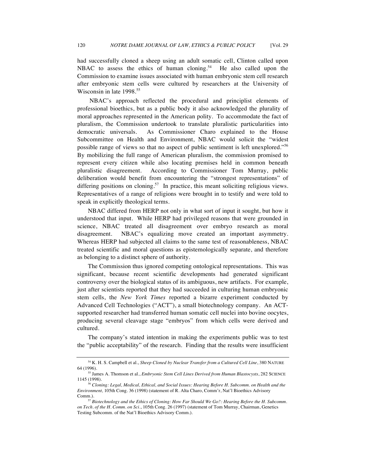had successfully cloned a sheep using an adult somatic cell, Clinton called upon NBAC to assess the ethics of human cloning.<sup>54</sup> He also called upon the Commission to examine issues associated with human embryonic stem cell research after embryonic stem cells were cultured by researchers at the University of Wisconsin in late 1998.<sup>55</sup>

NBAC's approach reflected the procedural and principlist elements of professional bioethics, but as a public body it also acknowledged the plurality of moral approaches represented in the American polity. To accommodate the fact of pluralism, the Commission undertook to translate pluralistic particularities into democratic universals. As Commissioner Charo explained to the House Subcommittee on Health and Environment, NBAC would solicit the "widest possible range of views so that no aspect of public sentiment is left unexplored."56 By mobilizing the full range of American pluralism, the commission promised to represent every citizen while also locating premises held in common beneath pluralistic disagreement. According to Commissioner Tom Murray, public deliberation would benefit from encountering the "strongest representations" of differing positions on cloning.<sup>57</sup> In practice, this meant soliciting religious views. Representatives of a range of religions were brought in to testify and were told to speak in explicitly theological terms.

NBAC differed from HERP not only in what sort of input it sought, but how it understood that input. While HERP had privileged reasons that were grounded in science, NBAC treated all disagreement over embryo research as moral disagreement. NBAC's equalizing move created an important asymmetry. Whereas HERP had subjected all claims to the same test of reasonableness, NBAC treated scientific and moral questions as epistemologically separate, and therefore as belonging to a distinct sphere of authority.

The Commission thus ignored competing ontological representations. This was significant, because recent scientific developments had generated significant controversy over the biological status of its ambiguous, new artifacts. For example, just after scientists reported that they had succeeded in culturing human embryonic stem cells, the *New York Times* reported a bizarre experiment conducted by Advanced Cell Technologies ("ACT"), a small biotechnology company. An ACTsupported researcher had transferred human somatic cell nuclei into bovine oocytes, producing several cleavage stage "embryos" from which cells were derived and cultured.

The company's stated intention in making the experiments public was to test the "public acceptability" of the research. Finding that the results were insufficient

<sup>54</sup> K. H. S. Campbell et al., *Sheep Cloned by Nuclear Transfer from a Cultured Cell Line*, 380 NATURE 64 (1996).

<sup>55</sup> James A. Thomson et al., *Embryonic Stem Cell Lines Derived from Human Blastocysts*, 282 SCIENCE 1145 (1998).

<sup>56</sup> *Cloning: Legal, Medical, Ethical, and Social Issues: Hearing Before H. Subcomm. on Health and the Environment,* 105th Cong. 36 (1998) (statement of R. Alta Charo, Comm'r, Nat'l Bioethics Advisory Comm.). 57 *Biotechnology and the Ethics of Cloning: How Far Should We Go?: Hearing Before the H. Subcomm.* 

*on Tech. of the H. Comm. on Sci.*, 105th Cong. 26 (1997) (statement of Tom Murray, Chairman, Genetics Testing Subcomm. of the Nat'l Bioethics Advisory Comm.).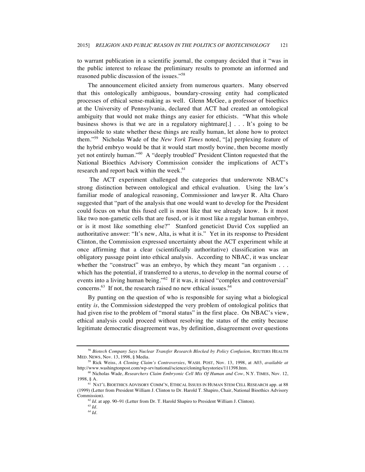to warrant publication in a scientific journal, the company decided that it "was in the public interest to release the preliminary results to promote an informed and reasoned public discussion of the issues."58

The announcement elicited anxiety from numerous quarters. Many observed that this ontologically ambiguous, boundary-crossing entity had complicated processes of ethical sense-making as well. Glenn McGee, a professor of bioethics at the University of Pennsylvania, declared that ACT had created an ontological ambiguity that would not make things any easier for ethicists. "What this whole business shows is that we are in a regulatory nightmare[.] . . . It's going to be impossible to state whether these things are really human, let alone how to protect them."59 Nicholas Wade of the *New York Times* noted, "[a] perplexing feature of the hybrid embryo would be that it would start mostly bovine, then become mostly yet not entirely human."60 A "deeply troubled" President Clinton requested that the National Bioethics Advisory Commission consider the implications of ACT's research and report back within the week.<sup>61</sup>

The ACT experiment challenged the categories that underwrote NBAC's strong distinction between ontological and ethical evaluation. Using the law's familiar mode of analogical reasoning, Commissioner and lawyer R. Alta Charo suggested that "part of the analysis that one would want to develop for the President could focus on what this fused cell is most like that we already know. Is it most like two non-gametic cells that are fused, or is it most like a regular human embryo, or is it most like something else?" Stanford geneticist David Cox supplied an authoritative answer: "It's new, Alta, is what it is." Yet in its response to President Clinton, the Commission expressed uncertainty about the ACT experiment while at once affirming that a clear (scientifically authoritative) classification was an obligatory passage point into ethical analysis. According to NBAC, it was unclear whether the "construct" was an embryo, by which they meant "an organism . . . which has the potential, if transferred to a uterus, to develop in the normal course of events into a living human being."<sup>62</sup> If it was, it raised "complex and controversial" concerns. $63$  If not, the research raised no new ethical issues. $64$ 

By punting on the question of who is responsible for saying what a biological entity *is,* the Commission sidestepped the very problem of ontological politics that had given rise to the problem of "moral status" in the first place. On NBAC's view, ethical analysis could proceed without resolving the status of the entity because legitimate democratic disagreement was, by definition, disagreement over questions

<sup>58</sup> *Biotech Company Says Nuclear Transfer Research Blocked by Policy Confusion*, REUTERS HEALTH MED. NEWS, Nov. 13, 1998, § Media.

<sup>59</sup> Rick Weiss, *A Cloning Claim's Controversies*, WASH. POST, Nov. 13, 1998, at A03, *available at*  http://www.washingtonpost.com/wp-srv/national/science/cloning/keystories/111398.htm.

<sup>60</sup> Nicholas Wade, *Researchers Claim Embryonic Cell Mix Of Human and Cow*, N.Y. TIMES, Nov. 12, 1998, § A.

<sup>61</sup> NAT'L BIOETHICS ADVISORY COMM'N, ETHICAL ISSUES IN HUMAN STEM CELL RESEARCH app. at 88 (1999) (Letter from President William J. Clinton to Dr. Harold T. Shapiro, Chair, National Bioethics Advisory Commission).

<sup>&</sup>lt;sup>62</sup> *Id*. at app. 90–91 (Letter from Dr. T. Harold Shapiro to President William J. Clinton).

<sup>63</sup> *Id.*

*<sup>64</sup> Id*.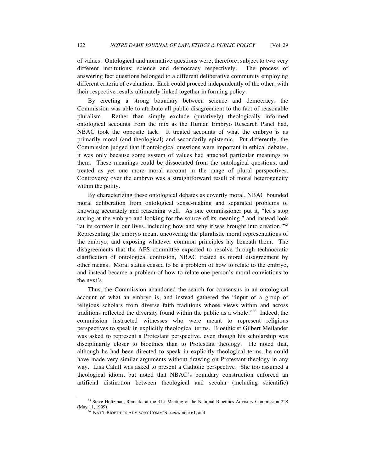of values. Ontological and normative questions were, therefore, subject to two very different institutions: science and democracy respectively. The process of answering fact questions belonged to a different deliberative community employing different criteria of evaluation. Each could proceed independently of the other, with their respective results ultimately linked together in forming policy.

By erecting a strong boundary between science and democracy, the Commission was able to attribute all public disagreement to the fact of reasonable pluralism. Rather than simply exclude (putatively) theologically informed ontological accounts from the mix as the Human Embryo Research Panel had, NBAC took the opposite tack. It treated accounts of what the embryo is as primarily moral (and theological) and secondarily epistemic. Put differently, the Commission judged that if ontological questions were important in ethical debates, it was only because some system of values had attached particular meanings to them. These meanings could be dissociated from the ontological questions, and treated as yet one more moral account in the range of plural perspectives. Controversy over the embryo was a straightforward result of moral heterogeneity within the polity.

By characterizing these ontological debates as covertly moral, NBAC bounded moral deliberation from ontological sense-making and separated problems of knowing accurately and reasoning well. As one commissioner put it, "let's stop staring at the embryo and looking for the source of its meaning," and instead look "at its context in our lives, including how and why it was brought into creation."65 Representing the embryo meant uncovering the pluralistic moral representations of the embryo, and exposing whatever common principles lay beneath them. The disagreements that the AFS committee expected to resolve through technocratic clarification of ontological confusion, NBAC treated as moral disagreement by other means. Moral status ceased to be a problem of how to relate to the embryo, and instead became a problem of how to relate one person's moral convictions to the next's.

Thus, the Commission abandoned the search for consensus in an ontological account of what an embryo is, and instead gathered the "input of a group of religious scholars from diverse faith traditions whose views within and across traditions reflected the diversity found within the public as a whole."<sup>66</sup> Indeed, the commission instructed witnesses who were meant to represent religious perspectives to speak in explicitly theological terms. Bioethicist Gilbert Meilander was asked to represent a Protestant perspective, even though his scholarship was disciplinarily closer to bioethics than to Protestant theology. He noted that, although he had been directed to speak in explicitly theological terms, he could have made very similar arguments without drawing on Protestant theology in any way. Lisa Cahill was asked to present a Catholic perspective. She too assumed a theological idiom, but noted that NBAC's boundary construction enforced an artificial distinction between theological and secular (including scientific)

<sup>65</sup> Steve Holtzman, Remarks at the 31st Meeting of the National Bioethics Advisory Commission 228 (May 11, 1999).

<sup>66</sup> NAT'L BIOETHICS ADVISORY COMM'N, *supra* note 61, at 4.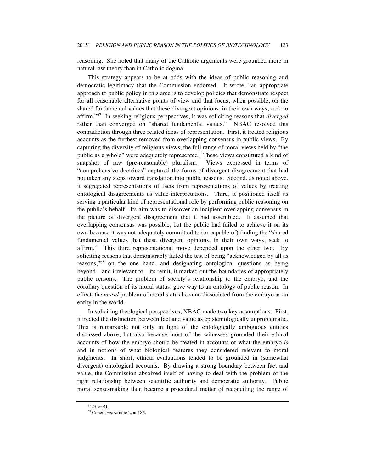reasoning. She noted that many of the Catholic arguments were grounded more in natural law theory than in Catholic dogma.

This strategy appears to be at odds with the ideas of public reasoning and democratic legitimacy that the Commission endorsed. It wrote, "an appropriate approach to public policy in this area is to develop policies that demonstrate respect for all reasonable alternative points of view and that focus, when possible, on the shared fundamental values that these divergent opinions, in their own ways, seek to affirm."67 In seeking religious perspectives, it was soliciting reasons that *diverged* rather than converged on "shared fundamental values." NBAC resolved this contradiction through three related ideas of representation. First, it treated religious accounts as the furthest removed from overlapping consensus in public views. By capturing the diversity of religious views, the full range of moral views held by "the public as a whole" were adequately represented. These views constituted a kind of snapshot of raw (pre-reasonable) pluralism. Views expressed in terms of "comprehensive doctrines" captured the forms of divergent disagreement that had not taken any steps toward translation into public reasons. Second, as noted above, it segregated representations of facts from representations of values by treating ontological disagreements as value-interpretations. Third, it positioned itself as serving a particular kind of representational role by performing public reasoning on the public's behalf. Its aim was to discover an incipient overlapping consensus in the picture of divergent disagreement that it had assembled. It assumed that overlapping consensus was possible, but the public had failed to achieve it on its own because it was not adequately committed to (or capable of) finding the "shared fundamental values that these divergent opinions, in their own ways, seek to affirm." This third representational move depended upon the other two. By soliciting reasons that demonstrably failed the test of being "acknowledged by all as reasons,"<sup>68</sup> on the one hand, and designating ontological questions as being beyond—and irrelevant to—its remit, it marked out the boundaries of appropriately public reasons. The problem of society's relationship to the embryo, and the corollary question of its moral status, gave way to an ontology of public reason. In effect, the *moral* problem of moral status became dissociated from the embryo as an entity in the world.

In soliciting theological perspectives, NBAC made two key assumptions. First, it treated the distinction between fact and value as epistemologically unproblematic. This is remarkable not only in light of the ontologically ambiguous entities discussed above, but also because most of the witnesses grounded their ethical accounts of how the embryo should be treated in accounts of what the embryo *is* and in notions of what biological features they considered relevant to moral judgments. In short, ethical evaluations tended to be grounded in (somewhat divergent) ontological accounts. By drawing a strong boundary between fact and value, the Commission absolved itself of having to deal with the problem of the right relationship between scientific authority and democratic authority. Public moral sense-making then became a procedural matter of reconciling the range of

<sup>67</sup> *Id.* at 51. 68 Cohen, *supra* note 2, at 186.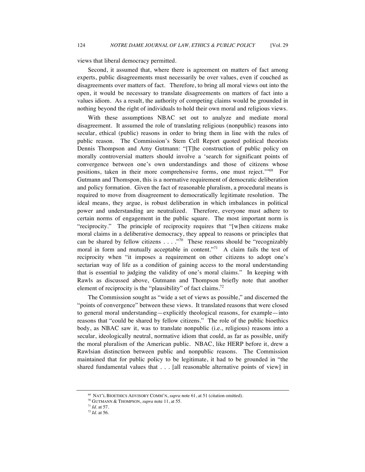views that liberal democracy permitted.

Second, it assumed that, where there is agreement on matters of fact among experts, public disagreements must necessarily be over values, even if couched as disagreements over matters of fact. Therefore, to bring all moral views out into the open, it would be necessary to translate disagreements on matters of fact into a values idiom. As a result, the authority of competing claims would be grounded in nothing beyond the right of individuals to hold their own moral and religious views.

With these assumptions NBAC set out to analyze and mediate moral disagreement. It assumed the role of translating religious (nonpublic) reasons into secular, ethical (public) reasons in order to bring them in line with the rules of public reason. The Commission's Stem Cell Report quoted political theorists Dennis Thompson and Amy Gutmann: "[T]he construction of public policy on morally controversial matters should involve a 'search for significant points of convergence between one's own understandings and those of citizens whose positions, taken in their more comprehensive forms, one must reject."<sup>69</sup> For Gutmann and Thomspon, this is a normative requirement of democratic deliberation and policy formation. Given the fact of reasonable pluralism, a procedural means is required to move from disagreement to democratically legitimate resolution. The ideal means, they argue, is robust deliberation in which imbalances in political power and understanding are neutralized. Therefore, everyone must adhere to certain norms of engagement in the public square. The most important norm is "reciprocity." The principle of reciprocity requires that "[w]hen citizens make moral claims in a deliberative democracy, they appeal to reasons or principles that can be shared by fellow citizens  $\dots$ ."<sup>70</sup> These reasons should be "recognizably" moral in form and mutually acceptable in content."<sup>71</sup> A claim fails the test of reciprocity when "it imposes a requirement on other citizens to adopt one's sectarian way of life as a condition of gaining access to the moral understanding that is essential to judging the validity of one's moral claims." In keeping with Rawls as discussed above, Gutmann and Thompson briefly note that another element of reciprocity is the "plausibility" of fact claims.<sup>72</sup>

The Commission sought as "wide a set of views as possible," and discerned the "points of convergence" between these views. It translated reasons that were closed to general moral understanding—explicitly theological reasons, for example—into reasons that "could be shared by fellow citizens." The role of the public bioethics body, as NBAC saw it, was to translate nonpublic (i.e., religious) reasons into a secular, ideologically neutral, normative idiom that could, as far as possible, unify the moral pluralism of the American public. NBAC, like HERP before it, drew a Rawlsian distinction between public and nonpublic reasons. The Commission maintained that for public policy to be legitimate, it had to be grounded in "the shared fundamental values that . . . [all reasonable alternative points of view] in

<sup>69</sup> NAT'L BIOETHICS ADVISORY COMM'N, *supra* note 61, at 51 (citation omitted).

<sup>70</sup> GUTMANN & THOMPSON, *supra* note 11, at 55.

<sup>71</sup> *Id.* at 57.

<sup>72</sup> *Id.* at 56.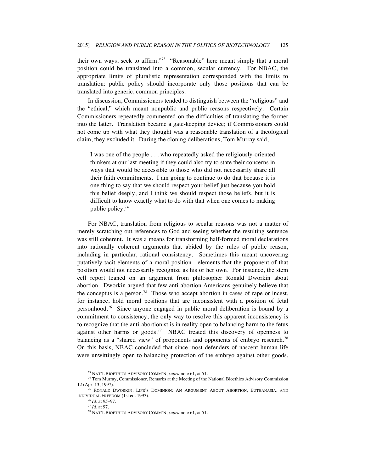their own ways, seek to affirm."<sup>73</sup> "Reasonable" here meant simply that a moral position could be translated into a common, secular currency. For NBAC, the appropriate limits of pluralistic representation corresponded with the limits to translation: public policy should incorporate only those positions that can be translated into generic, common principles.

In discussion, Commissioners tended to distinguish between the "religious" and the "ethical," which meant nonpublic and public reasons respectively. Certain Commissioners repeatedly commented on the difficulties of translating the former into the latter. Translation became a gate-keeping device; if Commissioners could not come up with what they thought was a reasonable translation of a theological claim, they excluded it. During the cloning deliberations, Tom Murray said,

I was one of the people . . . who repeatedly asked the religiously-oriented thinkers at our last meeting if they could also try to state their concerns in ways that would be accessible to those who did not necessarily share all their faith commitments. I am going to continue to do that because it is one thing to say that we should respect your belief just because you hold this belief deeply, and I think we should respect those beliefs, but it is difficult to know exactly what to do with that when one comes to making public policy. 74

For NBAC, translation from religious to secular reasons was not a matter of merely scratching out references to God and seeing whether the resulting sentence was still coherent. It was a means for transforming half-formed moral declarations into rationally coherent arguments that abided by the rules of public reason, including in particular, rational consistency. Sometimes this meant uncovering putatively tacit elements of a moral position—elements that the proponent of that position would not necessarily recognize as his or her own. For instance, the stem cell report leaned on an argument from philosopher Ronald Dworkin about abortion. Dworkin argued that few anti-abortion Americans genuinely believe that the conceptus is a person.<sup>75</sup> Those who accept abortion in cases of rape or incest, for instance, hold moral positions that are inconsistent with a position of fetal personhood.76 Since anyone engaged in public moral deliberation is bound by a commitment to consistency, the only way to resolve this apparent inconsistency is to recognize that the anti-abortionist is in reality open to balancing harm to the fetus against other harms or goods.<sup>77</sup> NBAC treated this discovery of openness to balancing as a "shared view" of proponents and opponents of embryo research.<sup>78</sup> On this basis, NBAC concluded that since most defenders of nascent human life were unwittingly open to balancing protection of the embryo against other goods,

<sup>73</sup> NAT'L BIOETHICS ADVISORY COMM'N, *supra* note 61, at 51.

<sup>74</sup> Tom Murray, Commissioner, Remarks at the Meeting of the National Bioethics Advisory Commission 12 (Apr. 13, 1997).

<sup>75</sup> RONALD DWORKIN, LIFE'S DOMINION: AN ARGUMENT ABOUT ABORTION, EUTHANASIA, AND INDIVIDUAL FREEDOM (1st ed. 1993).

 $\frac{76}{77}$  *Id.* at 95–97.<br> $\frac{77}{77}$  *Id.* at 97.

<sup>&</sup>lt;sup>78</sup> NAT'L BIOETHICS ADVISORY COMM'N, *supra* note 61, at 51.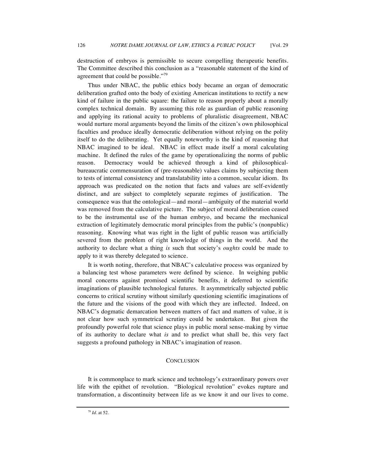destruction of embryos is permissible to secure compelling therapeutic benefits. The Committee described this conclusion as a "reasonable statement of the kind of agreement that could be possible."79

Thus under NBAC, the public ethics body became an organ of democratic deliberation grafted onto the body of existing American institutions to rectify a new kind of failure in the public square: the failure to reason properly about a morally complex technical domain. By assuming this role as guardian of public reasoning and applying its rational acuity to problems of pluralistic disagreement, NBAC would nurture moral arguments beyond the limits of the citizen's own philosophical faculties and produce ideally democratic deliberation without relying on the polity itself to do the deliberating. Yet equally noteworthy is the kind of reasoning that NBAC imagined to be ideal. NBAC in effect made itself a moral calculating machine. It defined the rules of the game by operationalizing the norms of public reason. Democracy would be achieved through a kind of philosophicalbureaucratic commensuration of (pre-reasonable) values claims by subjecting them to tests of internal consistency and translatability into a common, secular idiom. Its approach was predicated on the notion that facts and values are self-evidently distinct, and are subject to completely separate regimes of justification. The consequence was that the ontological—and moral—ambiguity of the material world was removed from the calculative picture. The subject of moral deliberation ceased to be the instrumental use of the human embryo, and became the mechanical extraction of legitimately democratic moral principles from the public's (nonpublic) reasoning. Knowing what was right in the light of public reason was artificially severed from the problem of right knowledge of things in the world. And the authority to declare what a thing *is* such that society's *oughts* could be made to apply to it was thereby delegated to science.

It is worth noting, therefore, that NBAC's calculative process was organized by a balancing test whose parameters were defined by science. In weighing public moral concerns against promised scientific benefits, it deferred to scientific imaginations of plausible technological futures. It asymmetrically subjected public concerns to critical scrutiny without similarly questioning scientific imaginations of the future and the visions of the good with which they are inflected. Indeed, on NBAC's dogmatic demarcation between matters of fact and matters of value, it is not clear how such symmetrical scrutiny could be undertaken. But given the profoundly powerful role that science plays in public moral sense-making by virtue of its authority to declare what *is* and to predict what shall be, this very fact suggests a profound pathology in NBAC's imagination of reason.

## **CONCLUSION**

It is commonplace to mark science and technology's extraordinary powers over life with the epithet of revolution. "Biological revolution" evokes rupture and transformation, a discontinuity between life as we know it and our lives to come.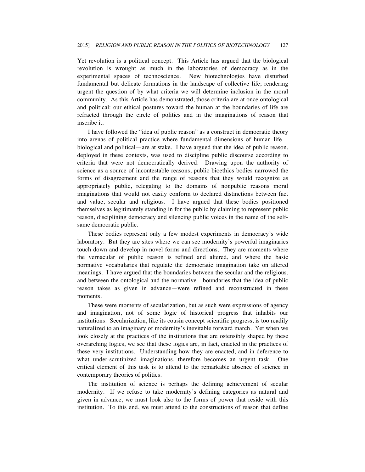Yet revolution is a political concept. This Article has argued that the biological revolution is wrought as much in the laboratories of democracy as in the experimental spaces of technoscience. New biotechnologies have disturbed fundamental but delicate formations in the landscape of collective life; rendering urgent the question of by what criteria we will determine inclusion in the moral community. As this Article has demonstrated, those criteria are at once ontological and political: our ethical postures toward the human at the boundaries of life are refracted through the circle of politics and in the imaginations of reason that inscribe it.

I have followed the "idea of public reason" as a construct in democratic theory into arenas of political practice where fundamental dimensions of human life biological and political—are at stake. I have argued that the idea of public reason, deployed in these contexts, was used to discipline public discourse according to criteria that were not democratically derived. Drawing upon the authority of science as a source of incontestable reasons, public bioethics bodies narrowed the forms of disagreement and the range of reasons that they would recognize as appropriately public, relegating to the domains of nonpublic reasons moral imaginations that would not easily conform to declared distinctions between fact and value, secular and religious. I have argued that these bodies positioned themselves as legitimately standing in for the public by claiming to represent public reason, disciplining democracy and silencing public voices in the name of the selfsame democratic public.

These bodies represent only a few modest experiments in democracy's wide laboratory. But they are sites where we can see modernity's powerful imaginaries touch down and develop in novel forms and directions. They are moments where the vernacular of public reason is refined and altered, and where the basic normative vocabularies that regulate the democratic imagination take on altered meanings. I have argued that the boundaries between the secular and the religious, and between the ontological and the normative—boundaries that the idea of public reason takes as given in advance—were refined and reconstructed in these moments.

These were moments of secularization, but as such were expressions of agency and imagination, not of some logic of historical progress that inhabits our institutions. Secularization, like its cousin concept scientific progress, is too readily naturalized to an imaginary of modernity's inevitable forward march. Yet when we look closely at the practices of the institutions that are ostensibly shaped by these overarching logics, we see that these logics are, in fact, enacted in the practices of these very institutions. Understanding how they are enacted, and in deference to what under-scrutinized imaginations, therefore becomes an urgent task. One critical element of this task is to attend to the remarkable absence of science in contemporary theories of politics.

The institution of science is perhaps the defining achievement of secular modernity. If we refuse to take modernity's defining categories as natural and given in advance, we must look also to the forms of power that reside with this institution. To this end, we must attend to the constructions of reason that define